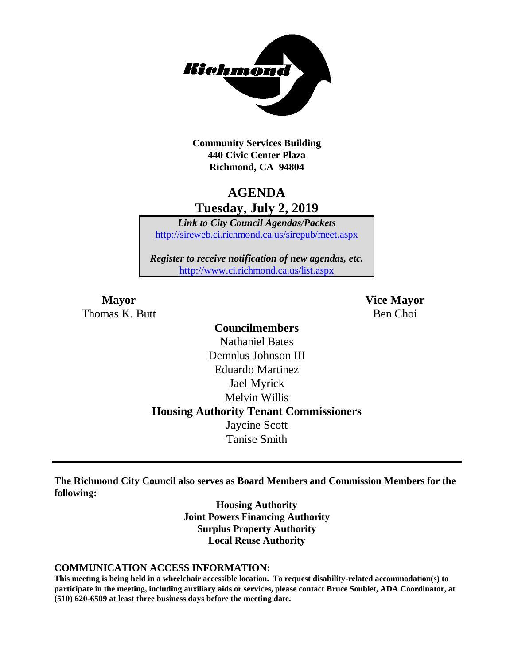

**Community Services Building 440 Civic Center Plaza Richmond, CA 94804**

## **AGENDA Tuesday, July 2, 2019**

*Link to City Council Agendas/Packets* <http://sireweb.ci.richmond.ca.us/sirepub/meet.aspx>

*Register to receive notification of new agendas, etc.* <http://www.ci.richmond.ca.us/list.aspx>

Thomas K. Butt Ben Choi

**Mayor Vice Mayor**

## **Councilmembers** Nathaniel Bates Demnlus Johnson III Eduardo Martinez Jael Myrick Melvin Willis **Housing Authority Tenant Commissioners** Jaycine Scott Tanise Smith

**The Richmond City Council also serves as Board Members and Commission Members for the following:**

> **Housing Authority Joint Powers Financing Authority Surplus Property Authority Local Reuse Authority**

#### **COMMUNICATION ACCESS INFORMATION:**

**This meeting is being held in a wheelchair accessible location. To request disability-related accommodation(s) to participate in the meeting, including auxiliary aids or services, please contact Bruce Soublet, ADA Coordinator, at (510) 620-6509 at least three business days before the meeting date.**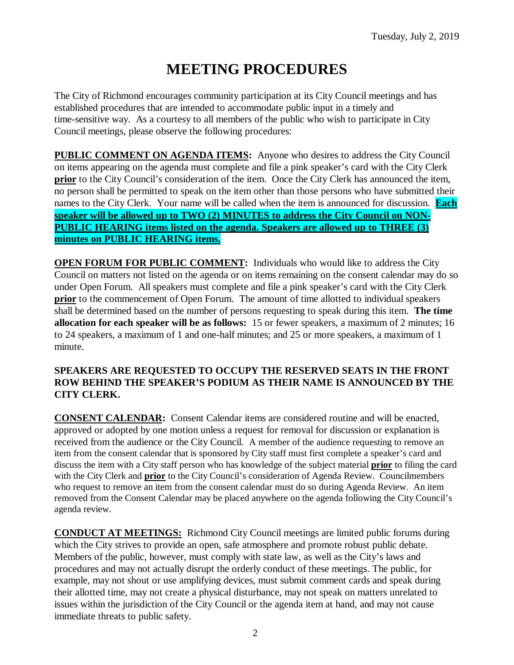# **MEETING PROCEDURES**

The City of Richmond encourages community participation at its City Council meetings and has established procedures that are intended to accommodate public input in a timely and time-sensitive way. As a courtesy to all members of the public who wish to participate in City Council meetings, please observe the following procedures:

**PUBLIC COMMENT ON AGENDA ITEMS:** Anyone who desires to address the City Council on items appearing on the agenda must complete and file a pink speaker's card with the City Clerk **prior** to the City Council's consideration of the item. Once the City Clerk has announced the item, no person shall be permitted to speak on the item other than those persons who have submitted their names to the City Clerk. Your name will be called when the item is announced for discussion. **Each speaker will be allowed up to TWO (2) MINUTES to address the City Council on NON-PUBLIC HEARING items listed on the agenda. Speakers are allowed up to THREE (3) minutes on PUBLIC HEARING items.**

**OPEN FORUM FOR PUBLIC COMMENT:** Individuals who would like to address the City Council on matters not listed on the agenda or on items remaining on the consent calendar may do so under Open Forum. All speakers must complete and file a pink speaker's card with the City Clerk **prior** to the commencement of Open Forum. The amount of time allotted to individual speakers shall be determined based on the number of persons requesting to speak during this item. **The time allocation for each speaker will be as follows:** 15 or fewer speakers, a maximum of 2 minutes; 16 to 24 speakers, a maximum of 1 and one-half minutes; and 25 or more speakers, a maximum of 1 minute.

#### **SPEAKERS ARE REQUESTED TO OCCUPY THE RESERVED SEATS IN THE FRONT ROW BEHIND THE SPEAKER'S PODIUM AS THEIR NAME IS ANNOUNCED BY THE CITY CLERK.**

**CONSENT CALENDAR:** Consent Calendar items are considered routine and will be enacted, approved or adopted by one motion unless a request for removal for discussion or explanation is received from the audience or the City Council. A member of the audience requesting to remove an item from the consent calendar that is sponsored by City staff must first complete a speaker's card and discuss the item with a City staff person who has knowledge of the subject material **prior** to filing the card with the City Clerk and **prior** to the City Council's consideration of Agenda Review. Councilmembers who request to remove an item from the consent calendar must do so during Agenda Review. An item removed from the Consent Calendar may be placed anywhere on the agenda following the City Council's agenda review.

**CONDUCT AT MEETINGS:** Richmond City Council meetings are limited public forums during which the City strives to provide an open, safe atmosphere and promote robust public debate. Members of the public, however, must comply with state law, as well as the City's laws and procedures and may not actually disrupt the orderly conduct of these meetings. The public, for example, may not shout or use amplifying devices, must submit comment cards and speak during their allotted time, may not create a physical disturbance, may not speak on matters unrelated to issues within the jurisdiction of the City Council or the agenda item at hand, and may not cause immediate threats to public safety.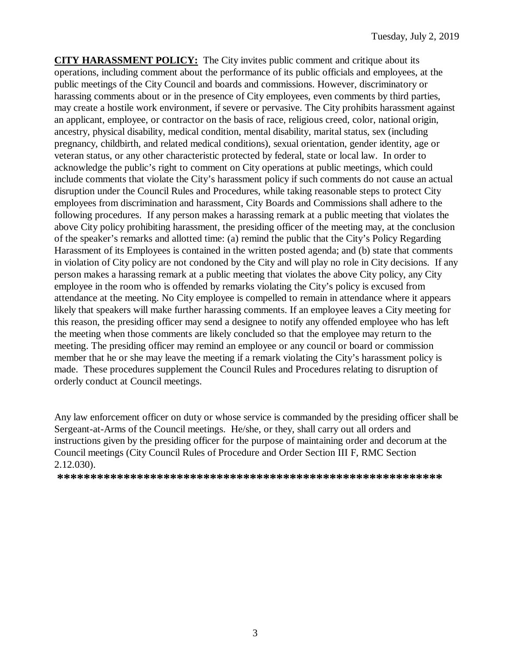**CITY HARASSMENT POLICY:** The City invites public comment and critique about its operations, including comment about the performance of its public officials and employees, at the public meetings of the City Council and boards and commissions. However, discriminatory or harassing comments about or in the presence of City employees, even comments by third parties, may create a hostile work environment, if severe or pervasive. The City prohibits harassment against an applicant, employee, or contractor on the basis of race, religious creed, color, national origin, ancestry, physical disability, medical condition, mental disability, marital status, sex (including pregnancy, childbirth, and related medical conditions), sexual orientation, gender identity, age or veteran status, or any other characteristic protected by federal, state or local law. In order to acknowledge the public's right to comment on City operations at public meetings, which could include comments that violate the City's harassment policy if such comments do not cause an actual disruption under the Council Rules and Procedures, while taking reasonable steps to protect City employees from discrimination and harassment, City Boards and Commissions shall adhere to the following procedures. If any person makes a harassing remark at a public meeting that violates the above City policy prohibiting harassment, the presiding officer of the meeting may, at the conclusion of the speaker's remarks and allotted time: (a) remind the public that the City's Policy Regarding Harassment of its Employees is contained in the written posted agenda; and (b) state that comments in violation of City policy are not condoned by the City and will play no role in City decisions. If any person makes a harassing remark at a public meeting that violates the above City policy, any City employee in the room who is offended by remarks violating the City's policy is excused from attendance at the meeting. No City employee is compelled to remain in attendance where it appears likely that speakers will make further harassing comments. If an employee leaves a City meeting for this reason, the presiding officer may send a designee to notify any offended employee who has left the meeting when those comments are likely concluded so that the employee may return to the meeting. The presiding officer may remind an employee or any council or board or commission member that he or she may leave the meeting if a remark violating the City's harassment policy is made. These procedures supplement the Council Rules and Procedures relating to disruption of orderly conduct at Council meetings.

Any law enforcement officer on duty or whose service is commanded by the presiding officer shall be Sergeant-at-Arms of the Council meetings. He/she, or they, shall carry out all orders and instructions given by the presiding officer for the purpose of maintaining order and decorum at the Council meetings (City Council Rules of Procedure and Order Section III F, RMC Section 2.12.030).

**\*\*\*\*\*\*\*\*\*\*\*\*\*\*\*\*\*\*\*\*\*\*\*\*\*\*\*\*\*\*\*\*\*\*\*\*\*\*\*\*\*\*\*\*\*\*\*\*\*\*\*\*\*\*\*\*\*\***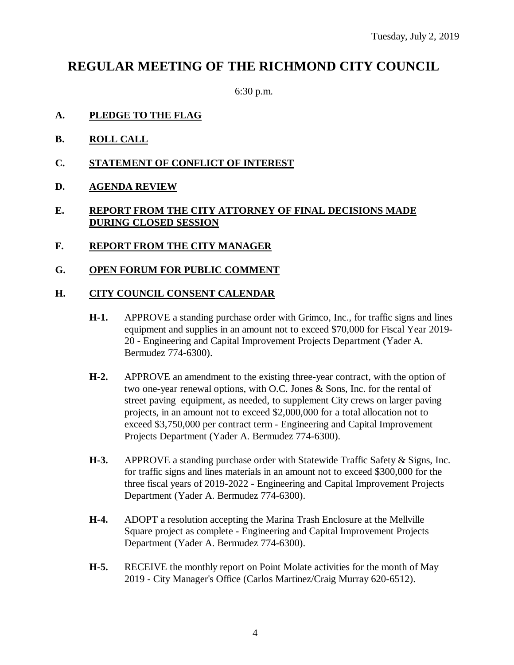## **REGULAR MEETING OF THE RICHMOND CITY COUNCIL**

6:30 p.m.

- **A. PLEDGE TO THE FLAG**
- **B. ROLL CALL**
- **C. STATEMENT OF CONFLICT OF INTEREST**
- **D. AGENDA REVIEW**

#### **E. REPORT FROM THE CITY ATTORNEY OF FINAL DECISIONS MADE DURING CLOSED SESSION**

**F. REPORT FROM THE CITY MANAGER**

### **G. OPEN FORUM FOR PUBLIC COMMENT**

#### **H. CITY COUNCIL CONSENT CALENDAR**

- **H-1.** APPROVE a standing purchase order with Grimco, Inc., for traffic signs and lines equipment and supplies in an amount not to exceed \$70,000 for Fiscal Year 2019- 20 - Engineering and Capital Improvement Projects Department (Yader A. Bermudez 774-6300).
- **H-2.** APPROVE an amendment to the existing three-year contract, with the option of two one-year renewal options, with O.C. Jones & Sons, Inc. for the rental of street paving equipment, as needed, to supplement City crews on larger paving projects, in an amount not to exceed \$2,000,000 for a total allocation not to exceed \$3,750,000 per contract term - Engineering and Capital Improvement Projects Department (Yader A. Bermudez 774-6300).
- **H-3.** APPROVE a standing purchase order with Statewide Traffic Safety & Signs, Inc. for traffic signs and lines materials in an amount not to exceed \$300,000 for the three fiscal years of 2019-2022 - Engineering and Capital Improvement Projects Department (Yader A. Bermudez 774-6300).
- **H-4.** ADOPT a resolution accepting the Marina Trash Enclosure at the Mellville Square project as complete - Engineering and Capital Improvement Projects Department (Yader A. Bermudez 774-6300).
- **H-5.** RECEIVE the monthly report on Point Molate activities for the month of May 2019 - City Manager's Office (Carlos Martinez/Craig Murray 620-6512).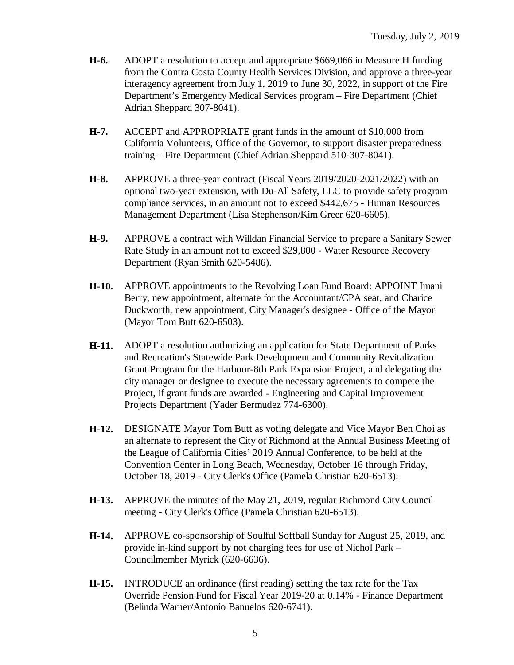- **H-6.** ADOPT a resolution to accept and appropriate \$669,066 in Measure H funding from the Contra Costa County Health Services Division, and approve a three-year interagency agreement from July 1, 2019 to June 30, 2022, in support of the Fire Department's Emergency Medical Services program – Fire Department (Chief Adrian Sheppard 307-8041).
- **H-7.** ACCEPT and APPROPRIATE grant funds in the amount of \$10,000 from California Volunteers, Office of the Governor, to support disaster preparedness training – Fire Department (Chief Adrian Sheppard 510-307-8041).
- **H-8.** APPROVE a three-year contract (Fiscal Years 2019/2020-2021/2022) with an optional two-year extension, with Du-All Safety, LLC to provide safety program compliance services, in an amount not to exceed \$442,675 - Human Resources Management Department (Lisa Stephenson/Kim Greer 620-6605).
- **H-9.** APPROVE a contract with Willdan Financial Service to prepare a Sanitary Sewer Rate Study in an amount not to exceed \$29,800 - Water Resource Recovery Department (Ryan Smith 620-5486).
- **H-10.** APPROVE appointments to the Revolving Loan Fund Board: APPOINT Imani Berry, new appointment, alternate for the Accountant/CPA seat, and Charice Duckworth, new appointment, City Manager's designee - Office of the Mayor (Mayor Tom Butt 620-6503).
- **H-11.** ADOPT a resolution authorizing an application for State Department of Parks and Recreation's Statewide Park Development and Community Revitalization Grant Program for the Harbour-8th Park Expansion Project, and delegating the city manager or designee to execute the necessary agreements to compete the Project, if grant funds are awarded - Engineering and Capital Improvement Projects Department (Yader Bermudez 774-6300).
- **H-12.** DESIGNATE Mayor Tom Butt as voting delegate and Vice Mayor Ben Choi as an alternate to represent the City of Richmond at the Annual Business Meeting of the League of California Cities' 2019 Annual Conference, to be held at the Convention Center in Long Beach, Wednesday, October 16 through Friday, October 18, 2019 - City Clerk's Office (Pamela Christian 620-6513).
- **H-13.** APPROVE the minutes of the May 21, 2019, regular Richmond City Council meeting - City Clerk's Office (Pamela Christian 620-6513).
- **H-14.** APPROVE co-sponsorship of Soulful Softball Sunday for August 25, 2019, and provide in-kind support by not charging fees for use of Nichol Park – Councilmember Myrick (620-6636).
- **H-15.** INTRODUCE an ordinance (first reading) setting the tax rate for the Tax Override Pension Fund for Fiscal Year 2019-20 at 0.14% - Finance Department (Belinda Warner/Antonio Banuelos 620-6741).